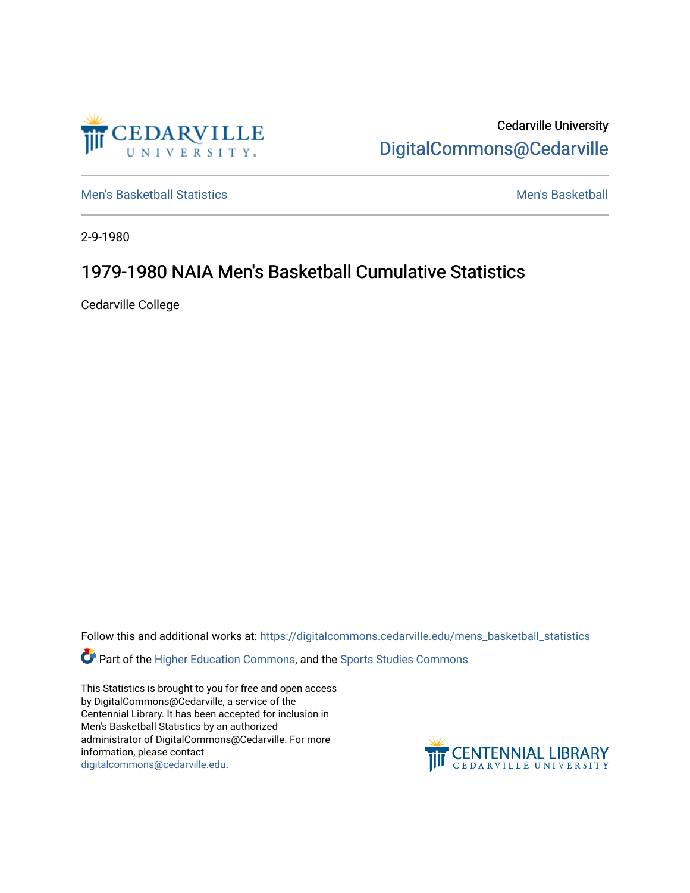

Cedarville University [DigitalCommons@Cedarville](https://digitalcommons.cedarville.edu/) 

[Men's Basketball Statistics](https://digitalcommons.cedarville.edu/mens_basketball_statistics) [Men's Basketball](https://digitalcommons.cedarville.edu/mens_basketball) 

2-9-1980

# 1979-1980 NAIA Men's Basketball Cumulative Statistics

Cedarville College

Follow this and additional works at: [https://digitalcommons.cedarville.edu/mens\\_basketball\\_statistics](https://digitalcommons.cedarville.edu/mens_basketball_statistics?utm_source=digitalcommons.cedarville.edu%2Fmens_basketball_statistics%2F354&utm_medium=PDF&utm_campaign=PDFCoverPages) 

**Part of the [Higher Education Commons,](http://network.bepress.com/hgg/discipline/1245?utm_source=digitalcommons.cedarville.edu%2Fmens_basketball_statistics%2F354&utm_medium=PDF&utm_campaign=PDFCoverPages) and the Sports Studies Commons** 

This Statistics is brought to you for free and open access by DigitalCommons@Cedarville, a service of the Centennial Library. It has been accepted for inclusion in Men's Basketball Statistics by an authorized administrator of DigitalCommons@Cedarville. For more information, please contact [digitalcommons@cedarville.edu](mailto:digitalcommons@cedarville.edu).

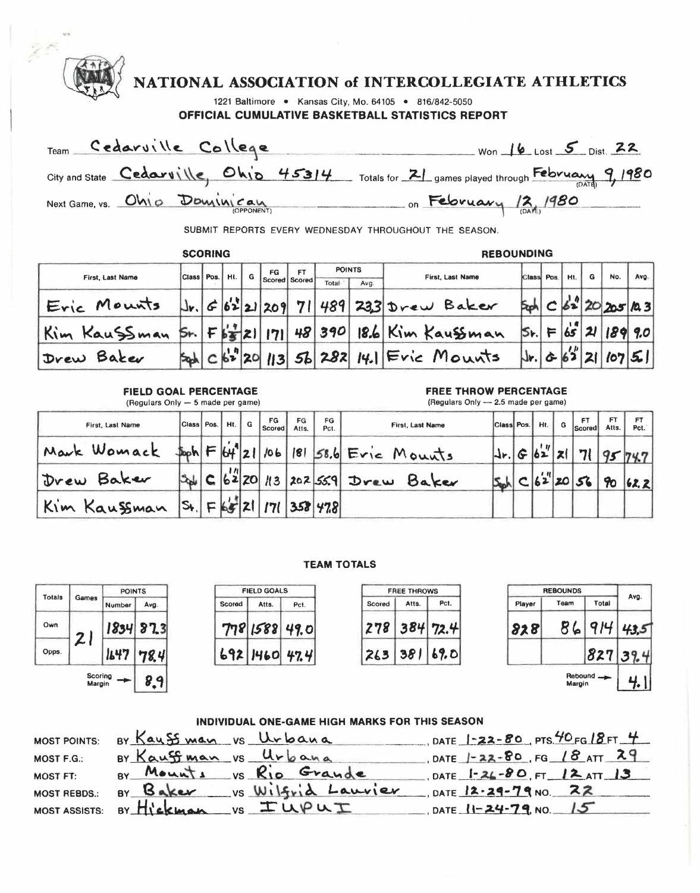|                         |                |     |                             |                      |               |      | NATIONAL ASSOCIATION of INTERCOLLEGIATE ATHLETICS                                               |                              |      |     |   |                |      |
|-------------------------|----------------|-----|-----------------------------|----------------------|---------------|------|-------------------------------------------------------------------------------------------------|------------------------------|------|-----|---|----------------|------|
|                         |                |     |                             |                      |               |      | 1221 Baltimore . Kansas City, Mo. 64105 . 816/842-5050                                          |                              |      |     |   |                |      |
|                         |                |     |                             |                      |               |      | OFFICIAL CUMULATIVE BASKETBALL STATISTICS REPORT                                                |                              |      |     |   |                |      |
| Team Cedarville College |                |     |                             |                      |               |      | $Won$ $16$ Lost $5$ Dist. 22                                                                    |                              |      |     |   |                |      |
|                         |                |     |                             |                      |               |      | City and State Cedaruille, $Ohi_0$ 45314 Totals for $2$ , games played through February 9, 1980 |                              |      |     |   |                |      |
|                         |                |     |                             |                      |               |      | Next Game, vs. Ohio Dourinican on February 12, 1980                                             |                              |      |     |   |                |      |
|                         |                |     |                             |                      |               |      | SUBMIT REPORTS EVERY WEDNESDAY THROUGHOUT THE SEASON.                                           |                              |      |     |   |                |      |
|                         | <b>SCORING</b> |     |                             |                      |               |      | <b>REBOUNDING</b>                                                                               |                              |      |     |   |                |      |
| First, Last Name        | Class Pos.     | Ht. | FG                          | FT.<br>Scored Scored | <b>POINTS</b> |      | First, Last Name                                                                                | Class                        | Pos. | Ht. | G | No.            | Avg. |
| Eric Mounts             |                |     |                             |                      | Total         | Ava. | $ J_{r} $ 6   6'2   21   209   71   489   233   Drew Baker                                      |                              |      |     |   | C 62 20 205 R3 |      |
| Kim Kaussman            |                |     | $5r$ $F$ $s'_3$ $z$ $ 171 $ |                      |               |      | 48 390 18.6 Kim Kaussman                                                                        | 5. F652                      |      |     |   | 189 9.0        |      |
| Drew Baker              |                |     |                             |                      |               |      | $c s^2 z0 $ 113 56 282 14.1 Fric Mounts                                                         | $ J_{r} $ $\circ$ $ S'' $ 21 |      |     |   | 107            |      |
|                         |                |     |                             |                      |               |      |                                                                                                 |                              |      |     |   |                |      |

**FIELD GOAL PERCENTAGE**  (Regulars Only - 5 made per game)

### **FREE THROW PERCENTAGE**

(Regulars Only - 2.5 made per game)

| First, Last Name | Class Pos.                 |   | Ht.         | G | FG<br>Scored | FG<br>Atts. | FG.<br>Pct. | First, Last Name          | Class Pos.                        |   | Ht.         | FT<br>$-1$ G $ $ Scored $ $ | FT<br>Atts. | <b>FT</b><br>Pct. |
|------------------|----------------------------|---|-------------|---|--------------|-------------|-------------|---------------------------|-----------------------------------|---|-------------|-----------------------------|-------------|-------------------|
| Mark Womack      |                            |   | 164         | 2 | 106          | 8           |             | $58.6$ Eric<br>Mounts     | $\mathsf{I}\mathsf{I}\mathsf{r}.$ | G | ' u .<br>62 |                             |             |                   |
| Baker<br>Drew    | <b>Sold</b>                | C | H <br>62 20 |   | 113          |             |             | Baker<br>$ 202 559 $ Drew |                                   |   | , ,,        | 56                          |             | 62.2              |
| Kim Kaussman     | $ \mathsf{S}_\mathsf{t}  $ | ► | ÞS          |   | "7.          |             | 358   478   |                           |                                   |   |             |                             |             |                   |

## **TEAM TOTALS**

| Totals | Games             | <b>POINTS</b> |      |  |  |
|--------|-------------------|---------------|------|--|--|
|        |                   | Number        | Avg. |  |  |
| Own    | 21                | 1834          | 87.3 |  |  |
| Opps.  |                   | 1647          | 78.4 |  |  |
|        | Scoring<br>Margin |               | 8.9  |  |  |

| <b>POINTS</b> |             |          | <b>FIELD GOALS</b> |             |               | <b>FREE THROWS</b> |          |        | <b>REBOUNDS</b> |       |
|---------------|-------------|----------|--------------------|-------------|---------------|--------------------|----------|--------|-----------------|-------|
| Number        | Avg.        | Scored   | Atts.              | Pct.        | Scored        | Atts.              | Pct.     | Player | Team            | Total |
|               | $1834$ 87.3 |          |                    | 778158849.0 | 278           |                    | 384 72.4 | 828    |                 | O IL  |
| 1647          | 78.4        | 692 1460 |                    | 47.4        | $265^{\circ}$ | JO.                | 69.0     |        |                 | 827   |

|        | <b>FREE THROWS</b> |          |        | <b>REBOUNDS</b> |
|--------|--------------------|----------|--------|-----------------|
| Scored | Atts.              | Pct.     | Player | Team            |
| 278    |                    | 384 72.4 | 828    |                 |
| 263    |                    | 381 69.0 |        |                 |

| Totals |                   | <b>POINTS</b> |             |        | <b>FIELD GOALS</b> |               |        | <b>FREE THROWS</b> |            | <b>REBOUNDS</b> | Avg.     |           |      |
|--------|-------------------|---------------|-------------|--------|--------------------|---------------|--------|--------------------|------------|-----------------|----------|-----------|------|
|        | Games             | Number        | Avg.        | Scored | Atts.              | Pct.          | Scored | Atts.              | Pct.       | Player          | Team     | Total     |      |
| Own    | ÷                 |               | $1834$ 87.3 |        |                    | 778158849.0   | 278    |                    | $384$ 72.4 | 828             | Ð.<br>ها | $Q$ ILI   | 43.5 |
| Opps.  | $\sim$ 1          | 1647          | 78.4        |        |                    | 692 1460 47.4 | 763    | 38                 | 69.0       |                 |          | 827       | 39.4 |
|        | Scoring<br>Margin |               | 8.9         |        |                    |               |        |                    |            |                 | Margin   | Rebound - | ш    |

## INDIVIDUAL ONE-GAME HIGH **MARKS** FOR THIS SEASON

|                     | INDIVIDUAL ONE-GAME HIGH MARKS FOR THIS SEASON |                                     |
|---------------------|------------------------------------------------|-------------------------------------|
| <b>MOST POINTS:</b> | By Kaussman vs Urbana                          | DATE 1-22-80 PTS. 40 FG 18 FT 4     |
| MOST F.G.:          | BY Kauffman vs Urbana                          | DATE $1 - 22 - 80$ , FG $18$ att 29 |
| MOST FT:            | BY Mounts vs Rio Grande                        | $DATE$ $-26-80$ , FT $-12AT$ 13     |
| <b>MOST REBDS.:</b> | BY Baker vs Wilfrid Laurier                    | DATE $12.29 - 79$ NO. 22            |
|                     | MOST ASSISTS: BY HICKMAN VS I UPUI             | DATE $11 - 24 - 79$ , NO. $15$      |